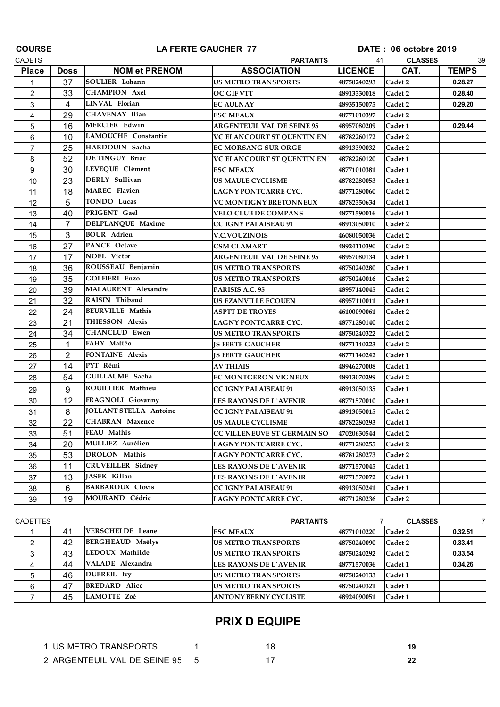| <b>COURSE</b>  | LA FERTE GAUCHER 77 |                               | DATE: 06 octobre 2019             |                      |         |              |
|----------------|---------------------|-------------------------------|-----------------------------------|----------------------|---------|--------------|
| <b>CADETS</b>  |                     |                               | <b>PARTANTS</b>                   | <b>CLASSES</b><br>41 |         |              |
| <b>Place</b>   | <b>Doss</b>         | <b>NOM et PRENOM</b>          | <b>ASSOCIATION</b>                | <b>LICENCE</b>       | CAT.    | <b>TEMPS</b> |
| 1              | 37                  | <b>SOULIER Lohann</b>         | <b>US METRO TRANSPORTS</b>        | 48750240293          | Cadet 2 | 0.28.27      |
| $\overline{2}$ | 33                  | <b>CHAMPION Axel</b>          | OC GIF VTT                        | 48913330018          | Cadet 2 | 0.28.40      |
| 3              | $\overline{4}$      | LINVAL Florian                | <b>EC AULNAY</b>                  | 48935150075          | Cadet 2 | 0.29.20      |
| 4              | 29                  | CHAVENAY Ilian                | <b>ESC MEAUX</b>                  | 48771010397          | Cadet 2 |              |
| 5              | 16                  | <b>MERCIER Edwin</b>          | <b>ARGENTEUIL VAL DE SEINE 95</b> | 48957080209          | Cadet 1 | 0.29.44      |
| 6              | 10                  | <b>LAMOUCHE Constantin</b>    | VC ELANCOURT ST QUENTIN EN        | 48782260172          | Cadet 2 |              |
| $\overline{7}$ | 25                  | HARDOUIN Sacha                | <b>EC MORSANG SUR ORGE</b>        | 48913390032          | Cadet 2 |              |
| 8              | 52                  | DE TINGUY Briac               | VC ELANCOURT ST QUENTIN EN        | 48782260120          | Cadet 1 |              |
| 9              | 30                  | LEVEQUE Clément               | <b>ESC MEAUX</b>                  | 48771010381          | Cadet 1 |              |
| 10             | 23                  | <b>DERLY</b> Sullivan         | <b>US MAULE CYCLISME</b>          | 48782280053          | Cadet 1 |              |
| 11             | 18                  | <b>MAREC</b> Flavien          | LAGNY PONTCARRE CYC.              | 48771280060          | Cadet 2 |              |
| 12             | 5                   | TONDO Lucas                   | <b>VC MONTIGNY BRETONNEUX</b>     | 48782350634          | Cadet 1 |              |
| 13             | 40                  | PRIGENT Gaël                  | <b>VELO CLUB DE COMPANS</b>       | 48771590016          | Cadet 1 |              |
| 14             | 7                   | DELPLANQUE Maxime             | CC IGNY PALAISEAU 91              | 48913050010          | Cadet 2 |              |
| 15             | 3                   | <b>BOUR</b> Adrien            | <b>V.C.VOUZINOIS</b>              | 46080050036          | Cadet 2 |              |
| 16             | 27                  | <b>PANCE Octave</b>           | CSM CLAMART                       | 48924110390          | Cadet 2 |              |
| 17             | 17                  | <b>NOEL Victor</b>            | <b>ARGENTEUIL VAL DE SEINE 95</b> | 48957080134          | Cadet 1 |              |
| 18             | 36                  | ROUSSEAU Benjamin             | <b>US METRO TRANSPORTS</b>        | 48750240280          | Cadet 1 |              |
| 19             | 35                  | <b>GOLFIERI Enzo</b>          | <b>US METRO TRANSPORTS</b>        | 48750240016          | Cadet 2 |              |
| 20             | 39                  | MALAURENT Alexandre           | PARISIS A.C. 95                   | 48957140045          | Cadet 2 |              |
| 21             | 32                  | RAISIN Thibaud                | <b>US EZANVILLE ECOUEN</b>        | 48957110011          | Cadet 1 |              |
| 22             | 24                  | <b>BEURVILLE Mathis</b>       | <b>ASPTT DE TROYES</b>            | 46100090061          | Cadet 2 |              |
| 23             | 21                  | THIESSON Alexis               | LAGNY PONTCARRE CYC.              | 48771280140          | Cadet 2 |              |
| 24             | 34                  | <b>CHANCLUD Ewen</b>          | <b>US METRO TRANSPORTS</b>        | 48750240322          | Cadet 2 |              |
| 25             | 1                   | FAHY Mattéo                   | <b>JS FERTE GAUCHER</b>           | 48771140223          | Cadet 2 |              |
| 26             | $\overline{2}$      | FONTAINE Alexis               | <b>IS FERTE GAUCHER</b>           | 48771140242          | Cadet 1 |              |
| 27             | 14                  | PYT Rémi                      | <b>AV THIAIS</b>                  | 48946270008          | Cadet 1 |              |
| 28             | 54                  | GUILLAUME Sacha               | EC MONTGERON VIGNEUX              | 48913070299          | Cadet 2 |              |
| 29             | 9                   | ROUILLIER Mathieu             | <b>CC IGNY PALAISEAU 91</b>       | 48913050135          | Cadet 1 |              |
| 30             | 12                  | FRAGNOLI Giovanny             | <b>LES RAYONS DE L`AVENIR</b>     | 48771570010          | Cadet 1 |              |
| 31             | 8                   | <b>JOLLANT STELLA Antoine</b> | <b>CC IGNY PALAISEAU 91</b>       | 48913050015          | Cadet 2 |              |
| 32             | 22                  | <b>CHABRAN Maxence</b>        | <b>US MAULE CYCLISME</b>          | 48782280293          | Cadet 1 |              |
| 33             | 51                  | FEAU Mathis                   | CC VILLENEUVE ST GERMAIN SO       | 47020630544          | Cadet 2 |              |
| 34             | 20                  | MULLIEZ Aurélien              | LAGNY PONTCARRE CYC.              | 48771280255          | Cadet 2 |              |
| 35             | 53                  | <b>DROLON Mathis</b>          | LAGNY PONTCARRE CYC.              | 48781280273          | Cadet 2 |              |
| 36             | 11                  | <b>CRUVEILLER Sidney</b>      | <b>LES RAYONS DE L'AVENIR</b>     | 48771570045          | Cadet 1 |              |
| 37             | 13                  | JASEK Kilian                  | LES RAYONS DE L'AVENIR            | 48771570072          | Cadet 1 |              |
| 38             | 6                   | <b>BARBAROUX Clovis</b>       | <b>CC IGNY PALAISEAU 91</b>       | 48913050241          | Cadet 1 |              |
| 39             | 19                  | MOURAND Cédric                | LAGNY PONTCARRE CYC.              | 48771280236          | Cadet 2 |              |

| <b>CADETTES</b> |    |                         | <b>PARTANTS</b>               |             | <b>CLASSES</b> |         |
|-----------------|----|-------------------------|-------------------------------|-------------|----------------|---------|
|                 | 41 | <b>VERSCHELDE</b> Leane | <b>ESC MEAUX</b>              | 48771010220 | Cadet 2        | 0.32.51 |
|                 | 42 | <b>BERGHEAUD Maëlys</b> | <b>IUS METRO TRANSPORTS</b>   | 48750240090 | Cadet 2        | 0.33.41 |
|                 | 43 | LEDOUX Mathilde         | <b>IUS METRO TRANSPORTS</b>   | 48750240292 | Cadet 2        | 0.33.54 |
|                 | 44 | VALADE Alexandra        | <b>LES RAYONS DE L`AVENIR</b> | 48771570036 | Cadet 1        | 0.34.26 |
|                 | 46 | <b>DUBREIL Ivy</b>      | <b>IUS METRO TRANSPORTS</b>   | 48750240133 | Cadet 1        |         |
|                 | 47 | <b>BREDARD</b> Alice    | <b>US METRO TRANSPORTS</b>    | 48750240321 | Cadet 1        |         |
|                 | 45 | LAMOTTE Zoé             | <b>ANTONY BERNY CYCLISTE</b>  | 48924090051 | Cadet 1        |         |

## **PRIX D EQUIPE**

| 1 US METRO TRANSPORTS          |  |  |
|--------------------------------|--|--|
| 2 ARGENTEUIL VAL DE SEINE 95 5 |  |  |